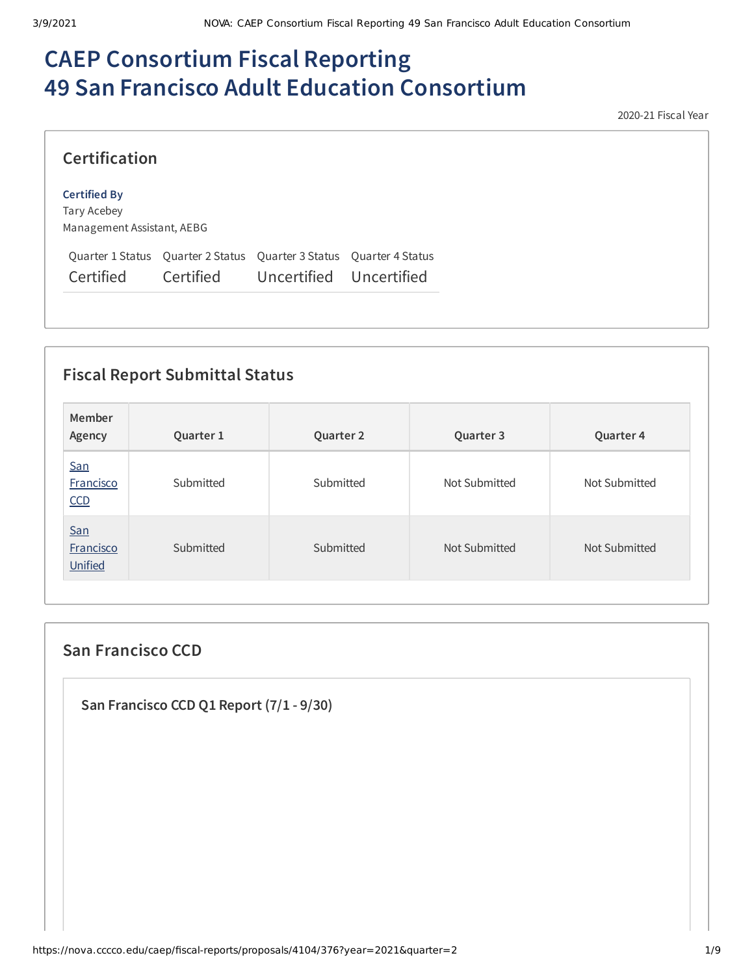# **CAEP Consortium Fiscal Reporting 49 San Francisco Adult Education Consortium**

2020-21 Fiscal Year

# **Certification**

#### **Certified By**

Tary Acebey Management Assistant, AEBG

Quarter 1 Status Quarter 2 Status Quarter 3 Status Quarter 4 Status Certified Certified Uncertified Uncertified

# **Fiscal Report Submittal Status**

| Member<br>Agency                   | Quarter 1 | Quarter 2 | Quarter 3     | Quarter 4     |
|------------------------------------|-----------|-----------|---------------|---------------|
| <b>San</b><br>Francisco<br>CCD     | Submitted | Submitted | Not Submitted | Not Submitted |
| San<br><b>Francisco</b><br>Unified | Submitted | Submitted | Not Submitted | Not Submitted |

# **San Francisco CCD**

**San Francisco CCD Q1 Report (7/1 - 9/30)**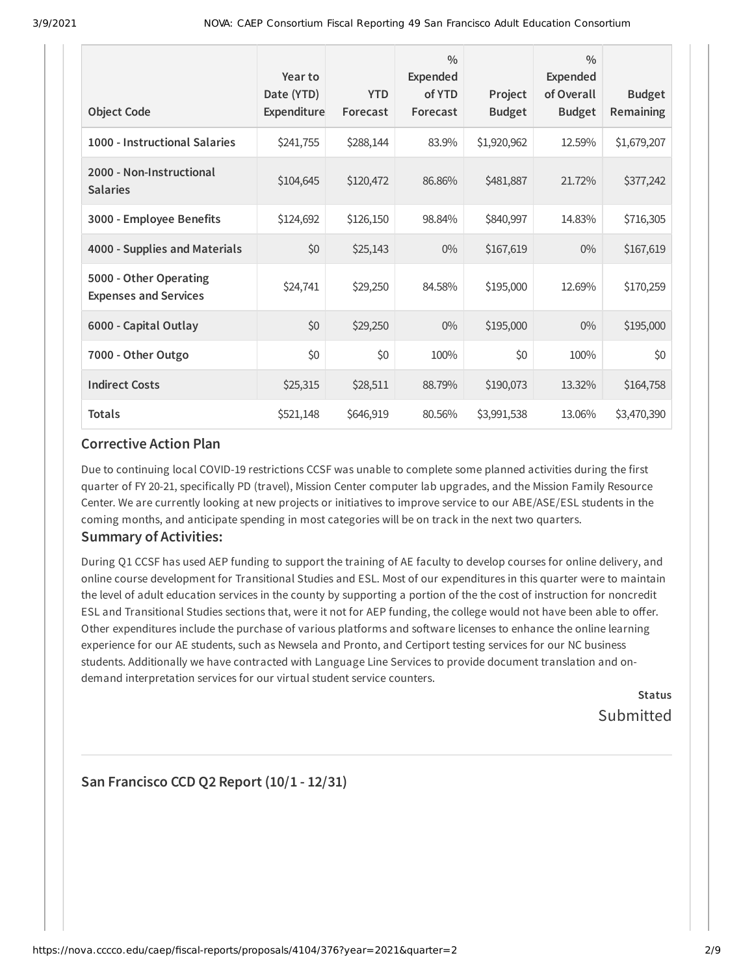| <b>Object Code</b>                                     | Year to<br>Date (YTD)<br><b>Expenditure</b> | <b>YTD</b><br>Forecast | $\frac{0}{0}$<br><b>Expended</b><br>of YTD<br>Forecast | Project<br><b>Budget</b> | $\frac{0}{0}$<br><b>Expended</b><br>of Overall<br><b>Budget</b> | <b>Budget</b><br>Remaining |
|--------------------------------------------------------|---------------------------------------------|------------------------|--------------------------------------------------------|--------------------------|-----------------------------------------------------------------|----------------------------|
| 1000 - Instructional Salaries                          | \$241,755                                   | \$288,144              | 83.9%                                                  | \$1,920,962              | 12.59%                                                          | \$1,679,207                |
| 2000 - Non-Instructional<br><b>Salaries</b>            | \$104,645                                   | \$120,472              | 86.86%                                                 | \$481,887                | 21.72%                                                          | \$377,242                  |
| 3000 - Employee Benefits                               | \$124,692                                   | \$126,150              | 98.84%                                                 | \$840,997                | 14.83%                                                          | \$716,305                  |
| 4000 - Supplies and Materials                          | \$0                                         | \$25,143               | $0\%$                                                  | \$167,619                | $0\%$                                                           | \$167,619                  |
| 5000 - Other Operating<br><b>Expenses and Services</b> | \$24,741                                    | \$29,250               | 84.58%                                                 | \$195,000                | 12.69%                                                          | \$170,259                  |
| 6000 - Capital Outlay                                  | \$0                                         | \$29,250               | $0\%$                                                  | \$195,000                | $0\%$                                                           | \$195,000                  |
| 7000 - Other Outgo                                     | \$0                                         | \$0                    | 100%                                                   | \$0                      | 100%                                                            | \$0                        |
| <b>Indirect Costs</b>                                  | \$25,315                                    | \$28,511               | 88.79%                                                 | \$190,073                | 13.32%                                                          | \$164,758                  |
| <b>Totals</b>                                          | \$521,148                                   | \$646,919              | 80.56%                                                 | \$3,991,538              | 13.06%                                                          | \$3,470,390                |

## **Corrective Action Plan**

Due to continuing local COVID-19 restrictions CCSF was unable to complete some planned activities during the first quarter of FY 20-21, specifically PD (travel), Mission Center computer lab upgrades, and the Mission Family Resource Center. We are currently looking at new projects or initiatives to improve service to our ABE/ASE/ESL students in the coming months, and anticipate spending in most categories will be on track in the next two quarters.

## **Summary of Activities:**

During Q1 CCSF has used AEP funding to support the training of AE faculty to develop courses for online delivery, and online course development for Transitional Studies and ESL. Most of our expenditures in this quarter were to maintain the level of adult education services in the county by supporting a portion of the the cost of instruction for noncredit ESL and Transitional Studies sections that, were it not for AEP funding, the college would not have been able to offer. Other expenditures include the purchase of various platforms and software licenses to enhance the online learning experience for our AE students, such as Newsela and Pronto, and Certiport testing services for our NC business students. Additionally we have contracted with Language Line Services to provide document translation and ondemand interpretation services for our virtual student service counters.

**Status** Submitted

# **San Francisco CCD Q2 Report (10/1 - 12/31)**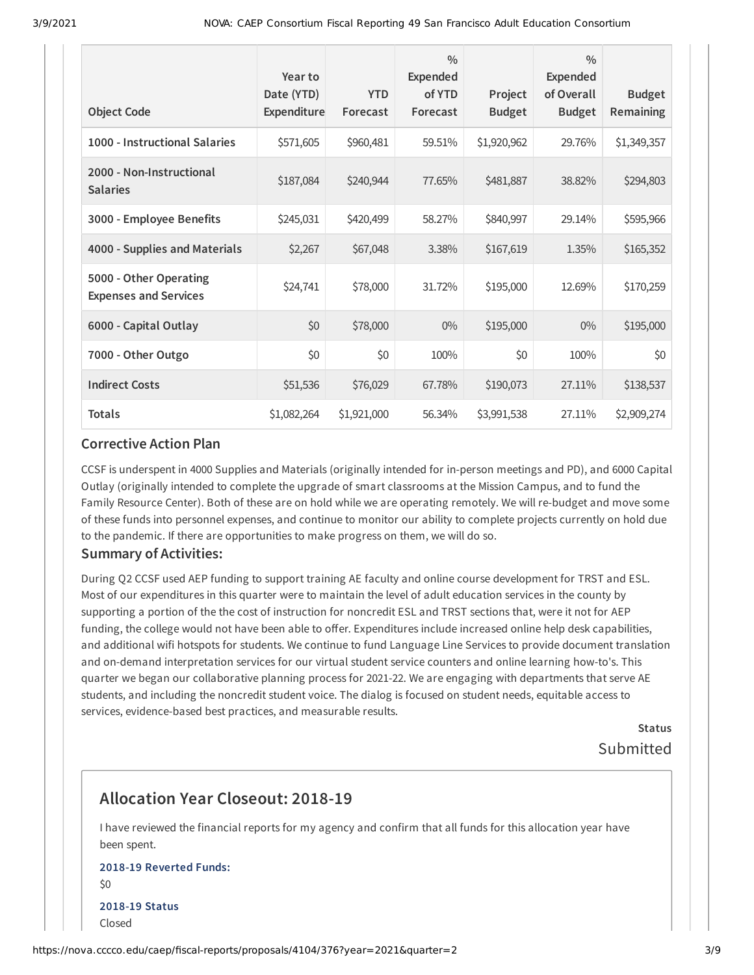| <b>Object Code</b>                                     | Year to<br>Date (YTD)<br>Expenditure | <b>YTD</b><br>Forecast | $\frac{0}{0}$<br>Expended<br>of YTD<br>Forecast | Project<br><b>Budget</b> | $\frac{0}{0}$<br><b>Expended</b><br>of Overall<br><b>Budget</b> | <b>Budget</b><br>Remaining |
|--------------------------------------------------------|--------------------------------------|------------------------|-------------------------------------------------|--------------------------|-----------------------------------------------------------------|----------------------------|
| 1000 - Instructional Salaries                          | \$571,605                            | \$960,481              | 59.51%                                          | \$1,920,962              | 29.76%                                                          | \$1,349,357                |
| 2000 - Non-Instructional<br><b>Salaries</b>            | \$187,084                            | \$240,944              | 77.65%                                          | \$481,887                | 38.82%                                                          | \$294,803                  |
| 3000 - Employee Benefits                               | \$245,031                            | \$420,499              | 58.27%                                          | \$840,997                | 29.14%                                                          | \$595,966                  |
| 4000 - Supplies and Materials                          | \$2,267                              | \$67,048               | 3.38%                                           | \$167,619                | 1.35%                                                           | \$165,352                  |
| 5000 - Other Operating<br><b>Expenses and Services</b> | \$24,741                             | \$78,000               | 31.72%                                          | \$195,000                | 12.69%                                                          | \$170,259                  |
| 6000 - Capital Outlay                                  | \$0                                  | \$78,000               | $0\%$                                           | \$195,000                | $0\%$                                                           | \$195,000                  |
| 7000 - Other Outgo                                     | \$0                                  | \$0                    | 100%                                            | \$0                      | 100%                                                            | \$0                        |
| <b>Indirect Costs</b>                                  | \$51,536                             | \$76,029               | 67.78%                                          | \$190,073                | 27.11%                                                          | \$138,537                  |
| <b>Totals</b>                                          | \$1,082,264                          | \$1,921,000            | 56.34%                                          | \$3,991,538              | 27.11%                                                          | \$2,909,274                |

#### **Corrective Action Plan**

CCSF is underspent in 4000 Supplies and Materials (originally intended for in-person meetings and PD), and 6000 Capital Outlay (originally intended to complete the upgrade of smart classrooms at the Mission Campus, and to fund the Family Resource Center). Both of these are on hold while we are operating remotely. We will re-budget and move some of these funds into personnel expenses, and continue to monitor our ability to complete projects currently on hold due to the pandemic. If there are opportunities to make progress on them, we will do so.

## **Summary of Activities:**

During Q2 CCSF used AEP funding to support training AE faculty and online course development for TRST and ESL. Most of our expenditures in this quarter were to maintain the level of adult education services in the county by supporting a portion of the the cost of instruction for noncredit ESL and TRST sections that, were it not for AEP funding, the college would not have been able to offer. Expenditures include increased online help desk capabilities, and additional wifi hotspots for students. We continue to fund Language Line Services to provide document translation and on-demand interpretation services for our virtual student service counters and online learning how-to's. This quarter we began our collaborative planning process for 2021-22. We are engaging with departments that serve AE students, and including the noncredit student voice. The dialog is focused on student needs, equitable access to services, evidence-based best practices, and measurable results.

> **Status** Submitted

# **Allocation Year Closeout: 2018-19**

I have reviewed the financial reports for my agency and confirm that all funds for this allocation year have been spent.

## **2018-19 Reverted Funds:** \$0 **2018-19 Status** Closed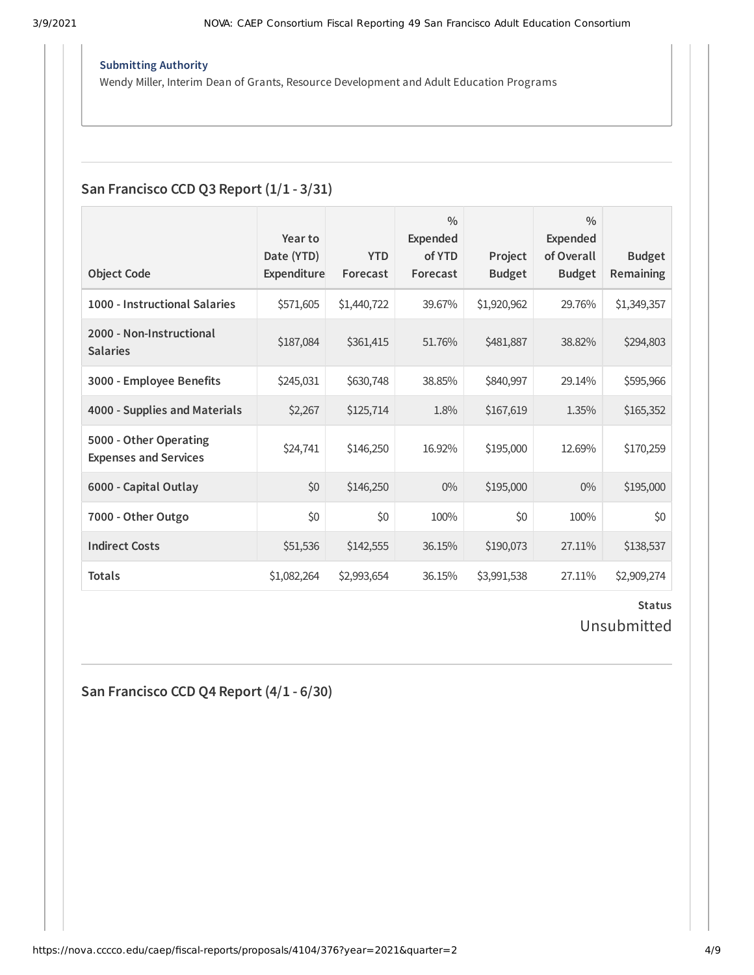#### **Submitting Authority**

Wendy Miller, Interim Dean of Grants, Resource Development and Adult Education Programs

## **San Francisco CCD Q3 Report (1/1 - 3/31)**

|                                                        | Year to                   |                        | 0/0<br>Expended    |                          | $\frac{0}{0}$<br>Expended   |                                   |
|--------------------------------------------------------|---------------------------|------------------------|--------------------|--------------------------|-----------------------------|-----------------------------------|
| <b>Object Code</b>                                     | Date (YTD)<br>Expenditure | <b>YTD</b><br>Forecast | of YTD<br>Forecast | Project<br><b>Budget</b> | of Overall<br><b>Budget</b> | <b>Budget</b><br><b>Remaining</b> |
| 1000 - Instructional Salaries                          | \$571,605                 | \$1,440,722            | 39.67%             | \$1,920,962              | 29.76%                      | \$1,349,357                       |
| 2000 - Non-Instructional<br><b>Salaries</b>            | \$187,084                 | \$361,415              | 51.76%             | \$481,887                | 38.82%                      | \$294,803                         |
| 3000 - Employee Benefits                               | \$245,031                 | \$630,748              | 38.85%             | \$840,997                | 29.14%                      | \$595,966                         |
| 4000 - Supplies and Materials                          | \$2,267                   | \$125,714              | 1.8%               | \$167,619                | 1.35%                       | \$165,352                         |
| 5000 - Other Operating<br><b>Expenses and Services</b> | \$24,741                  | \$146,250              | 16.92%             | \$195,000                | 12.69%                      | \$170,259                         |
| 6000 - Capital Outlay                                  | \$0                       | \$146,250              | $0\%$              | \$195,000                | $0\%$                       | \$195,000                         |
| 7000 - Other Outgo                                     | \$0                       | \$0                    | 100%               | \$0                      | 100%                        | \$0                               |
| <b>Indirect Costs</b>                                  | \$51,536                  | \$142,555              | 36.15%             | \$190,073                | 27.11%                      | \$138,537                         |
| <b>Totals</b>                                          | \$1,082,264               | \$2,993,654            | 36.15%             | \$3,991,538              | 27.11%                      | \$2,909,274                       |

# **Status** Unsubmitted

**San Francisco CCD Q4 Report (4/1 - 6/30)**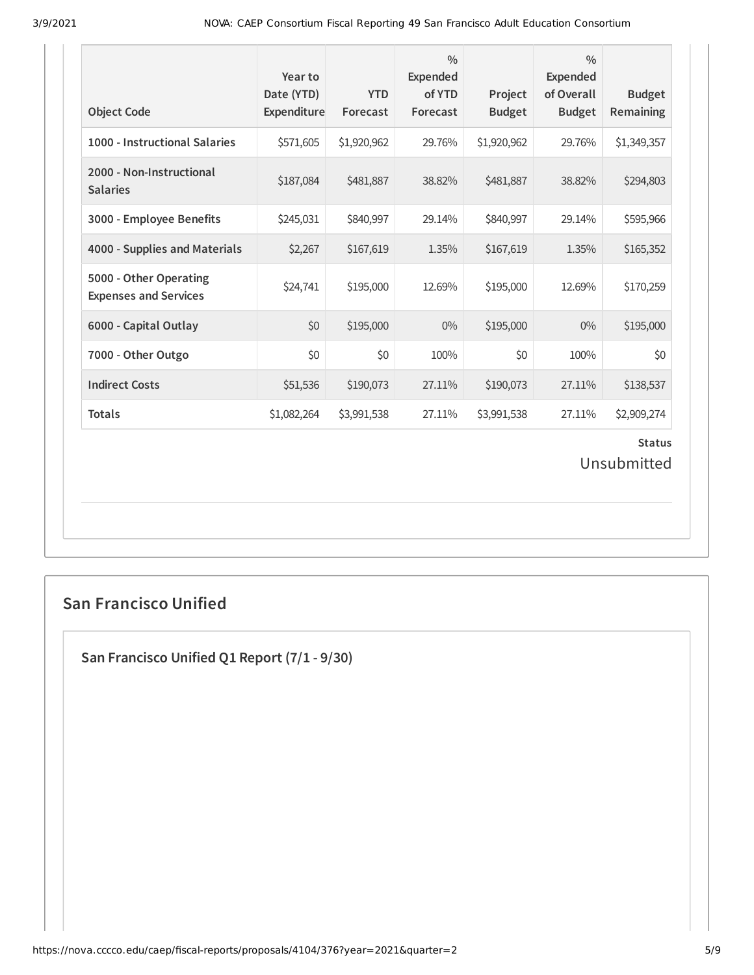| <b>Object Code</b>                                     | Year to<br>Date (YTD)<br>Expenditure | <b>YTD</b><br>Forecast | $\frac{0}{0}$<br><b>Expended</b><br>of YTD<br>Forecast | Project<br><b>Budget</b> | $\frac{0}{0}$<br><b>Expended</b><br>of Overall<br><b>Budget</b> | <b>Budget</b><br>Remaining |  |
|--------------------------------------------------------|--------------------------------------|------------------------|--------------------------------------------------------|--------------------------|-----------------------------------------------------------------|----------------------------|--|
| 1000 - Instructional Salaries                          | \$571,605                            | \$1,920,962            | 29.76%                                                 | \$1,920,962              | 29.76%                                                          | \$1,349,357                |  |
| 2000 - Non-Instructional<br><b>Salaries</b>            | \$187,084                            | \$481,887              | 38.82%                                                 | \$481,887                | 38.82%                                                          | \$294,803                  |  |
| 3000 - Employee Benefits                               | \$245,031                            | \$840,997              | 29.14%                                                 | \$840,997                | 29.14%                                                          | \$595,966                  |  |
| 4000 - Supplies and Materials                          | \$2,267                              | \$167,619              | 1.35%                                                  | \$167,619                | 1.35%                                                           | \$165,352                  |  |
| 5000 - Other Operating<br><b>Expenses and Services</b> | \$24,741                             | \$195,000              | 12.69%                                                 | \$195,000                | 12.69%                                                          | \$170,259                  |  |
| 6000 - Capital Outlay                                  | \$0                                  | \$195,000              | $0\%$                                                  | \$195,000                | $0\%$                                                           | \$195,000                  |  |
| 7000 - Other Outgo                                     | \$0                                  | \$0                    | 100%                                                   | \$0                      | 100%                                                            | \$0                        |  |
| <b>Indirect Costs</b>                                  | \$51,536                             | \$190,073              | 27.11%                                                 | \$190,073                | 27.11%                                                          | \$138,537                  |  |
| <b>Totals</b>                                          | \$1,082,264                          | \$3,991,538            | 27.11%                                                 | \$3,991,538              | 27.11%                                                          | \$2,909,274                |  |
| <b>Status</b><br>Unsubmitted                           |                                      |                        |                                                        |                          |                                                                 |                            |  |

# **San Francisco Unified**

**San Francisco Unified Q1 Report (7/1 - 9/30)**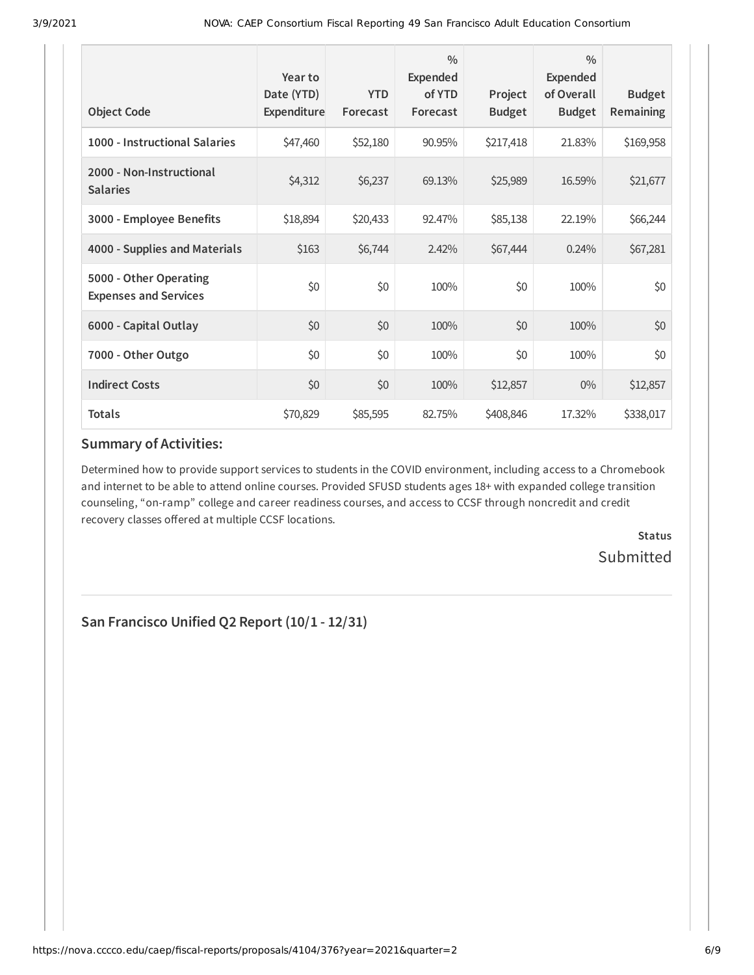| <b>Object Code</b>                                     | Year to<br>Date (YTD)<br>Expenditure | <b>YTD</b><br>Forecast | $\frac{0}{0}$<br>Expended<br>of YTD<br>Forecast | Project<br><b>Budget</b> | $\frac{0}{0}$<br><b>Expended</b><br>of Overall<br><b>Budget</b> | <b>Budget</b><br><b>Remaining</b> |
|--------------------------------------------------------|--------------------------------------|------------------------|-------------------------------------------------|--------------------------|-----------------------------------------------------------------|-----------------------------------|
| 1000 - Instructional Salaries                          | \$47,460                             | \$52,180               | 90.95%                                          | \$217,418                | 21.83%                                                          | \$169,958                         |
| 2000 - Non-Instructional<br><b>Salaries</b>            | \$4,312                              | \$6,237                | 69.13%                                          | \$25,989                 | 16.59%                                                          | \$21,677                          |
| 3000 - Employee Benefits                               | \$18,894                             | \$20,433               | 92.47%                                          | \$85,138                 | 22.19%                                                          | \$66,244                          |
| 4000 - Supplies and Materials                          | \$163                                | \$6,744                | 2.42%                                           | \$67,444                 | 0.24%                                                           | \$67,281                          |
| 5000 - Other Operating<br><b>Expenses and Services</b> | \$0                                  | \$0                    | 100%                                            | \$0                      | 100%                                                            | \$0                               |
| 6000 - Capital Outlay                                  | \$0                                  | \$0                    | 100%                                            | \$0                      | 100%                                                            | \$0                               |
| 7000 - Other Outgo                                     | \$0                                  | \$0                    | 100%                                            | \$0                      | 100%                                                            | \$0                               |
| <b>Indirect Costs</b>                                  | \$0                                  | \$0                    | 100%                                            | \$12,857                 | $0\%$                                                           | \$12,857                          |
| <b>Totals</b>                                          | \$70,829                             | \$85,595               | 82.75%                                          | \$408,846                | 17.32%                                                          | \$338,017                         |

# **Summary of Activities:**

Determined how to provide support services to students in the COVID environment, including access to a Chromebook and internet to be able to attend online courses. Provided SFUSD students ages 18+ with expanded college transition counseling, "on-ramp" college and career readiness courses, and access to CCSF through noncredit and credit recovery classes offered at multiple CCSF locations.

> **Status Submitted**

**San Francisco Unified Q2 Report (10/1 - 12/31)**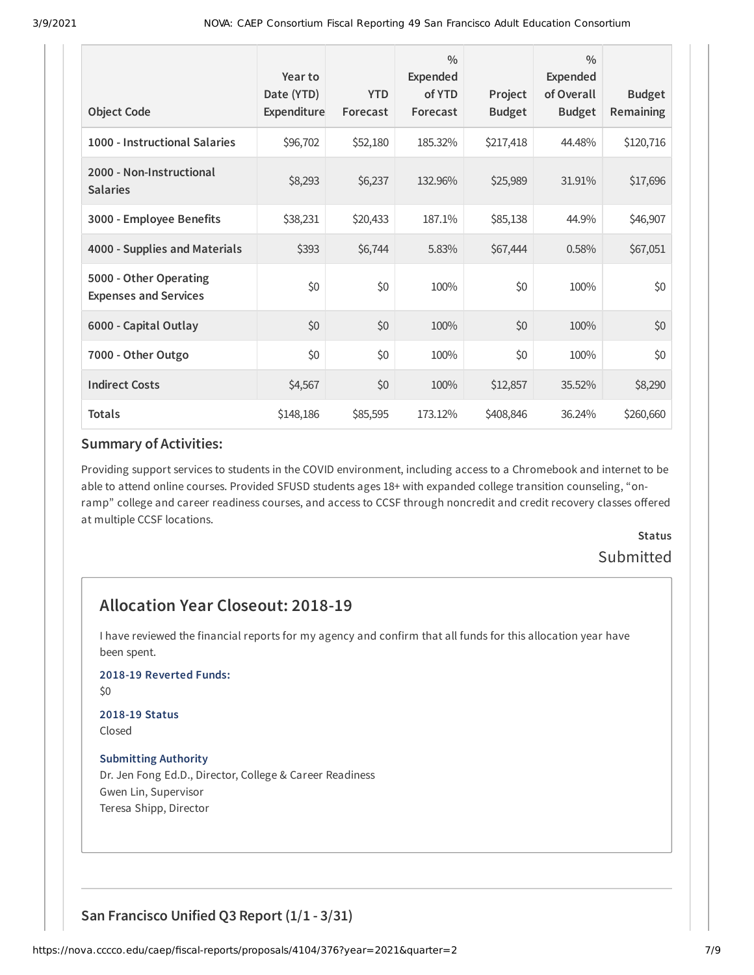| <b>Object Code</b>                                     | Year to<br>Date (YTD)<br>Expenditure | <b>YTD</b><br>Forecast | $\frac{0}{0}$<br>Expended<br>of YTD<br>Forecast | Project<br><b>Budget</b> | $\frac{0}{0}$<br><b>Expended</b><br>of Overall<br><b>Budget</b> | <b>Budget</b><br>Remaining |
|--------------------------------------------------------|--------------------------------------|------------------------|-------------------------------------------------|--------------------------|-----------------------------------------------------------------|----------------------------|
| 1000 - Instructional Salaries                          |                                      |                        | 185.32%                                         |                          | 44.48%                                                          |                            |
|                                                        | \$96,702                             | \$52,180               |                                                 | \$217,418                |                                                                 | \$120,716                  |
| 2000 - Non-Instructional<br><b>Salaries</b>            | \$8,293                              | \$6,237                | 132.96%                                         | \$25,989                 | 31.91%                                                          | \$17,696                   |
| 3000 - Employee Benefits                               | \$38,231                             | \$20,433               | 187.1%                                          | \$85,138                 | 44.9%                                                           | \$46,907                   |
| 4000 - Supplies and Materials                          | \$393                                | \$6,744                | 5.83%                                           | \$67,444                 | 0.58%                                                           | \$67,051                   |
| 5000 - Other Operating<br><b>Expenses and Services</b> | \$0                                  | \$0                    | 100%                                            | \$0                      | 100%                                                            | \$0                        |
| 6000 - Capital Outlay                                  | \$0                                  | \$0                    | 100%                                            | \$0                      | 100%                                                            | \$0                        |
| 7000 - Other Outgo                                     | \$0                                  | \$0                    | 100%                                            | \$0                      | 100%                                                            | \$0                        |
| <b>Indirect Costs</b>                                  | \$4,567                              | \$0                    | 100%                                            | \$12,857                 | 35.52%                                                          | \$8,290                    |
| <b>Totals</b>                                          | \$148,186                            | \$85,595               | 173.12%                                         | \$408,846                | 36.24%                                                          | \$260,660                  |

#### **Summary of Activities:**

Providing support services to students in the COVID environment, including access to a Chromebook and internet to be able to attend online courses. Provided SFUSD students ages 18+ with expanded college transition counseling, "onramp" college and career readiness courses, and access to CCSF through noncredit and credit recovery classes offered at multiple CCSF locations.

> **Status** Submitted

# **Allocation Year Closeout: 2018-19**

I have reviewed the financial reports for my agency and confirm that all funds for this allocation year have been spent.

#### **2018-19 Reverted Funds:**

\$0

#### **2018-19 Status** Closed

#### **Submitting Authority**

Dr. Jen Fong Ed.D., Director, College & Career Readiness Gwen Lin, Supervisor Teresa Shipp, Director

## **San Francisco Unified Q3 Report (1/1 - 3/31)**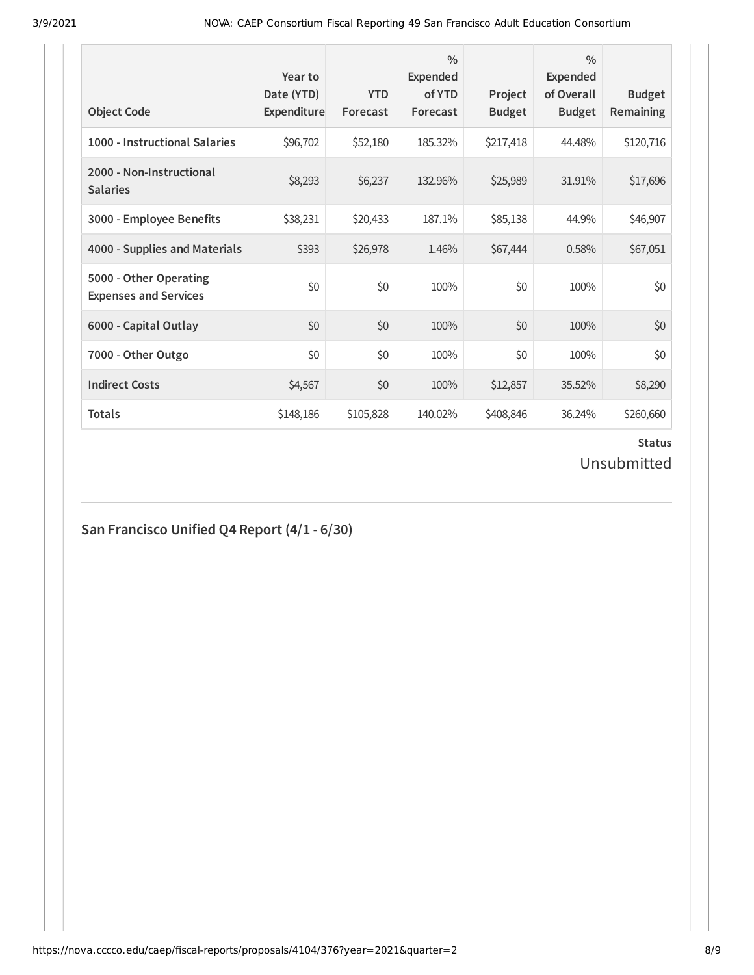| <b>Object Code</b>                                     | Year to<br>Date (YTD)<br><b>Expenditure</b> | <b>YTD</b><br>Forecast | $\frac{0}{0}$<br>Expended<br>of YTD<br>Forecast | Project<br><b>Budget</b> | $\frac{0}{0}$<br><b>Expended</b><br>of Overall<br><b>Budget</b> | <b>Budget</b><br><b>Remaining</b> |
|--------------------------------------------------------|---------------------------------------------|------------------------|-------------------------------------------------|--------------------------|-----------------------------------------------------------------|-----------------------------------|
| 1000 - Instructional Salaries                          | \$96,702                                    | \$52,180               | 185.32%                                         | \$217,418                | 44.48%                                                          | \$120,716                         |
| 2000 - Non-Instructional<br><b>Salaries</b>            | \$8,293                                     | \$6,237                | 132.96%                                         | \$25,989                 | 31.91%                                                          | \$17,696                          |
| 3000 - Employee Benefits                               | \$38,231                                    | \$20,433               | 187.1%                                          | \$85,138                 | 44.9%                                                           | \$46,907                          |
| 4000 - Supplies and Materials                          | \$393                                       | \$26,978               | 1.46%                                           | \$67,444                 | 0.58%                                                           | \$67,051                          |
| 5000 - Other Operating<br><b>Expenses and Services</b> | \$0                                         | \$0                    | 100%                                            | \$0                      | 100%                                                            | \$0                               |
| 6000 - Capital Outlay                                  | \$0                                         | \$0                    | 100%                                            | \$0                      | 100%                                                            | \$0                               |
| 7000 - Other Outgo                                     | \$0                                         | \$0                    | 100%                                            | \$0                      | 100%                                                            | \$0                               |
| <b>Indirect Costs</b>                                  | \$4,567                                     | \$0                    | 100%                                            | \$12,857                 | 35.52%                                                          | \$8,290                           |
| <b>Totals</b>                                          | \$148,186                                   | \$105,828              | 140.02%                                         | \$408,846                | 36.24%                                                          | \$260,660                         |

# **Status**

Unsubmitted

# **San Francisco Unified Q4 Report (4/1 - 6/30)**